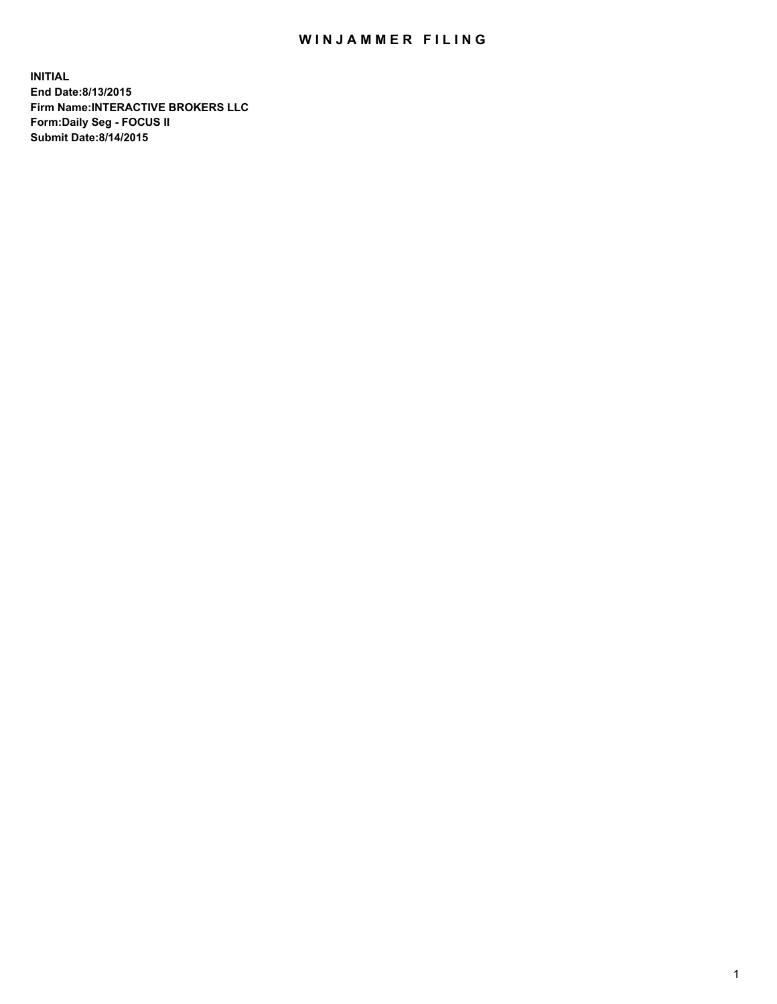## WIN JAMMER FILING

**INITIAL End Date:8/13/2015 Firm Name:INTERACTIVE BROKERS LLC Form:Daily Seg - FOCUS II Submit Date:8/14/2015**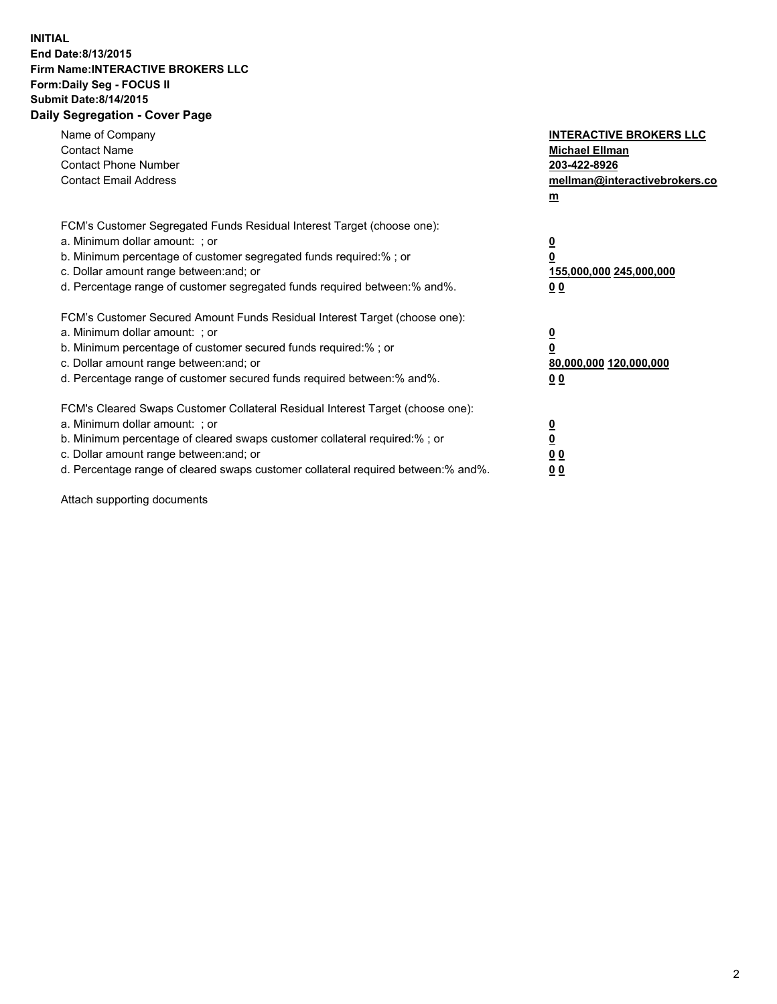## **INITIAL End Date:8/13/2015 Firm Name:INTERACTIVE BROKERS LLC Form:Daily Seg - FOCUS II Submit Date:8/14/2015 Daily Segregation - Cover Page**

| Name of Company<br><b>Contact Name</b><br><b>Contact Phone Number</b><br><b>Contact Email Address</b>                                                                                                                                                                                                                          | <b>INTERACTIVE BROKERS LLC</b><br><b>Michael Ellman</b><br>203-422-8926<br>mellman@interactivebrokers.co<br>$m$ |
|--------------------------------------------------------------------------------------------------------------------------------------------------------------------------------------------------------------------------------------------------------------------------------------------------------------------------------|-----------------------------------------------------------------------------------------------------------------|
| FCM's Customer Segregated Funds Residual Interest Target (choose one):<br>a. Minimum dollar amount: ; or<br>b. Minimum percentage of customer segregated funds required:% ; or<br>c. Dollar amount range between: and; or<br>d. Percentage range of customer segregated funds required between: % and %.                       | $\overline{\mathbf{0}}$<br>0<br>155,000,000 245,000,000<br>00                                                   |
| FCM's Customer Secured Amount Funds Residual Interest Target (choose one):<br>a. Minimum dollar amount: ; or<br>b. Minimum percentage of customer secured funds required:%; or<br>c. Dollar amount range between: and; or<br>d. Percentage range of customer secured funds required between: % and %.                          | $\overline{\mathbf{0}}$<br>0<br>80,000,000 120,000,000<br>0 <sub>0</sub>                                        |
| FCM's Cleared Swaps Customer Collateral Residual Interest Target (choose one):<br>a. Minimum dollar amount: ; or<br>b. Minimum percentage of cleared swaps customer collateral required:% ; or<br>c. Dollar amount range between: and; or<br>d. Percentage range of cleared swaps customer collateral required between:% and%. | $\overline{\mathbf{0}}$<br>$\underline{\mathbf{0}}$<br>0 <sub>0</sub><br>0 <sub>0</sub>                         |

Attach supporting documents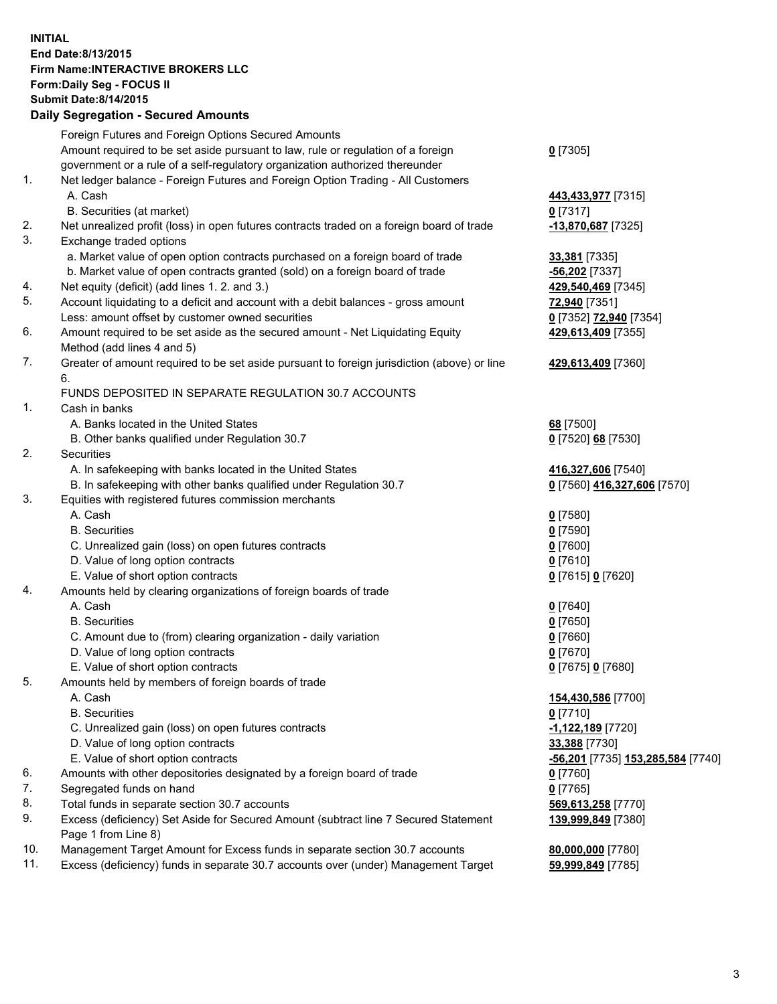## **INITIAL End Date:8/13/2015 Firm Name:INTERACTIVE BROKERS LLC Form:Daily Seg - FOCUS II Submit Date:8/14/2015 Daily Segregation - Secured Amounts**

|     | Daily Segregation - Secured Amounts                                                         |                                                   |
|-----|---------------------------------------------------------------------------------------------|---------------------------------------------------|
|     | Foreign Futures and Foreign Options Secured Amounts                                         |                                                   |
|     | Amount required to be set aside pursuant to law, rule or regulation of a foreign            | $0$ [7305]                                        |
|     | government or a rule of a self-regulatory organization authorized thereunder                |                                                   |
| 1.  | Net ledger balance - Foreign Futures and Foreign Option Trading - All Customers             |                                                   |
|     | A. Cash                                                                                     | 443,433,977 [7315]                                |
|     | B. Securities (at market)                                                                   | $0$ [7317]                                        |
| 2.  | Net unrealized profit (loss) in open futures contracts traded on a foreign board of trade   | -13,870,687 [7325]                                |
| 3.  | Exchange traded options                                                                     |                                                   |
|     | a. Market value of open option contracts purchased on a foreign board of trade              | 33,381 [7335]                                     |
|     | b. Market value of open contracts granted (sold) on a foreign board of trade                | $-56,202$ [7337]                                  |
| 4.  | Net equity (deficit) (add lines 1.2. and 3.)                                                | 429,540,469 [7345]                                |
| 5.  | Account liquidating to a deficit and account with a debit balances - gross amount           | 72,940 [7351]                                     |
|     | Less: amount offset by customer owned securities                                            | 0 [7352] 72,940 [7354]                            |
| 6.  | Amount required to be set aside as the secured amount - Net Liquidating Equity              | 429,613,409 [7355]                                |
|     | Method (add lines 4 and 5)                                                                  |                                                   |
| 7.  | Greater of amount required to be set aside pursuant to foreign jurisdiction (above) or line | 429,613,409 [7360]                                |
|     | 6.                                                                                          |                                                   |
|     | FUNDS DEPOSITED IN SEPARATE REGULATION 30.7 ACCOUNTS                                        |                                                   |
| 1.  | Cash in banks                                                                               |                                                   |
|     | A. Banks located in the United States                                                       | 68 [7500]                                         |
|     | B. Other banks qualified under Regulation 30.7                                              | 0 [7520] 68 [7530]                                |
| 2.  | Securities                                                                                  |                                                   |
|     | A. In safekeeping with banks located in the United States                                   |                                                   |
|     |                                                                                             | 416,327,606 [7540]<br>0 [7560] 416,327,606 [7570] |
| 3.  | B. In safekeeping with other banks qualified under Regulation 30.7                          |                                                   |
|     | Equities with registered futures commission merchants<br>A. Cash                            |                                                   |
|     | <b>B.</b> Securities                                                                        | $0$ [7580]                                        |
|     |                                                                                             | $0$ [7590]                                        |
|     | C. Unrealized gain (loss) on open futures contracts                                         | $0$ [7600]                                        |
|     | D. Value of long option contracts                                                           | $0$ [7610]                                        |
|     | E. Value of short option contracts                                                          | 0 [7615] 0 [7620]                                 |
| 4.  | Amounts held by clearing organizations of foreign boards of trade                           |                                                   |
|     | A. Cash                                                                                     | $0$ [7640]                                        |
|     | <b>B.</b> Securities                                                                        | $0$ [7650]                                        |
|     | C. Amount due to (from) clearing organization - daily variation                             | $0$ [7660]                                        |
|     | D. Value of long option contracts                                                           | $0$ [7670]                                        |
|     | E. Value of short option contracts                                                          | 0 [7675] 0 [7680]                                 |
| 5.  | Amounts held by members of foreign boards of trade                                          |                                                   |
|     | A. Cash                                                                                     | 154,430,586 [7700]                                |
|     | <b>B.</b> Securities                                                                        | $0$ [7710]                                        |
|     | C. Unrealized gain (loss) on open futures contracts                                         | -1,122,189 [7720]                                 |
|     | D. Value of long option contracts                                                           | 33,388 [7730]                                     |
|     | E. Value of short option contracts                                                          | <u>-56,201</u> [7735] 153,285,584 [7740]          |
| 6.  | Amounts with other depositories designated by a foreign board of trade                      | 0 [7760]                                          |
| 7.  | Segregated funds on hand                                                                    | $0$ [7765]                                        |
| 8.  | Total funds in separate section 30.7 accounts                                               | 569,613,258 [7770]                                |
| 9.  | Excess (deficiency) Set Aside for Secured Amount (subtract line 7 Secured Statement         | 139,999,849 [7380]                                |
|     | Page 1 from Line 8)                                                                         |                                                   |
| 10. | Management Target Amount for Excess funds in separate section 30.7 accounts                 | 80,000,000 [7780]                                 |
| 11. | Excess (deficiency) funds in separate 30.7 accounts over (under) Management Target          | 59,999,849 [7785]                                 |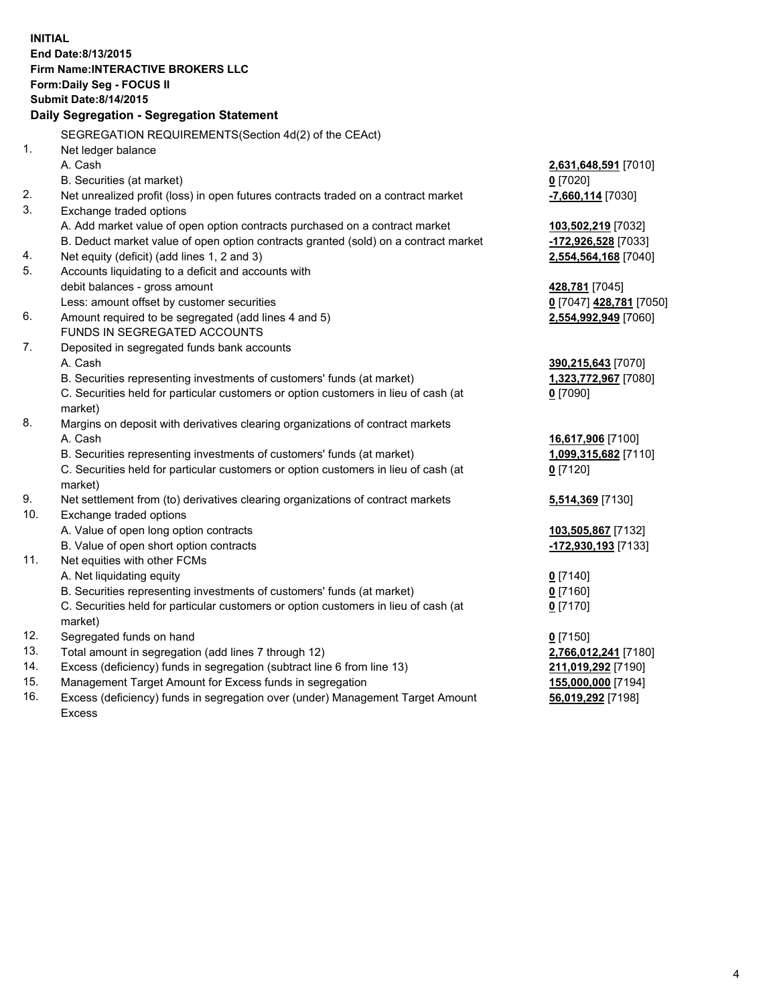**INITIAL End Date:8/13/2015 Firm Name:INTERACTIVE BROKERS LLC Form:Daily Seg - FOCUS II Submit Date:8/14/2015 Daily Segregation - Segregation Statement** SEGREGATION REQUIREMENTS(Section 4d(2) of the CEAct) 1. Net ledger balance A. Cash **2,631,648,591** [7010] B. Securities (at market) **0** [7020] 2. Net unrealized profit (loss) in open futures contracts traded on a contract market **-7,660,114** [7030] 3. Exchange traded options A. Add market value of open option contracts purchased on a contract market **103,502,219** [7032] B. Deduct market value of open option contracts granted (sold) on a contract market **-172,926,528** [7033] 4. Net equity (deficit) (add lines 1, 2 and 3) **2,554,564,168** [7040] 5. Accounts liquidating to a deficit and accounts with debit balances - gross amount **428,781** [7045] Less: amount offset by customer securities **0** [7047] **428,781** [7050] 6. Amount required to be segregated (add lines 4 and 5) **2,554,992,949** [7060] FUNDS IN SEGREGATED ACCOUNTS 7. Deposited in segregated funds bank accounts A. Cash **390,215,643** [7070] B. Securities representing investments of customers' funds (at market) **1,323,772,967** [7080] C. Securities held for particular customers or option customers in lieu of cash (at market) **0** [7090] 8. Margins on deposit with derivatives clearing organizations of contract markets A. Cash **16,617,906** [7100] B. Securities representing investments of customers' funds (at market) **1,099,315,682** [7110] C. Securities held for particular customers or option customers in lieu of cash (at market) **0** [7120] 9. Net settlement from (to) derivatives clearing organizations of contract markets **5,514,369** [7130] 10. Exchange traded options A. Value of open long option contracts **103,505,867** [7132] B. Value of open short option contracts **-172,930,193** [7133] 11. Net equities with other FCMs A. Net liquidating equity **0** [7140] B. Securities representing investments of customers' funds (at market) **0** [7160] C. Securities held for particular customers or option customers in lieu of cash (at market) **0** [7170] 12. Segregated funds on hand **0** [7150] 13. Total amount in segregation (add lines 7 through 12) **2,766,012,241** [7180] 14. Excess (deficiency) funds in segregation (subtract line 6 from line 13) **211,019,292** [7190] 15. Management Target Amount for Excess funds in segregation **155,000,000** [7194]

16. Excess (deficiency) funds in segregation over (under) Management Target Amount Excess

**56,019,292** [7198]